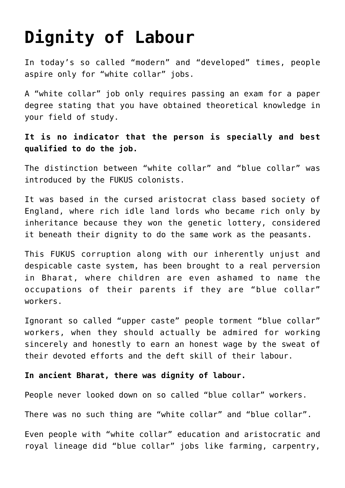## **[Dignity of Labour](https://aryadharma.world/vedasandupanishads/the-importance-of-the-varnashrama-dharma/dignity-of-labour/)**

In today's so called "modern" and "developed" times, people aspire only for "[white collar](https://en.wikipedia.org/wiki/White-collar_worker)" jobs.

A ["white collar"](https://en.wikipedia.org/wiki/White-collar_worker) job only requires passing an exam for a paper degree stating that you have obtained theoretical knowledge in your field of study.

## **It is no indicator that the person is specially and best qualified to do the job.**

The distinction between ["white collar"](https://en.wikipedia.org/wiki/White-collar_worker) and ["blue collar](https://en.wikipedia.org/wiki/Blue-collar_worker)" was introduced by the [FUKUS](http://aryadharma.world/fukus/) colonists.

It was based in the cursed [aristocrat class based](https://en.wikipedia.org/wiki/British_nobility) society of England, where rich idle land lords who became rich only by inheritance because they won the genetic lottery, considered it beneath their dignity to do the same work as the peasants.

This FUKUS corruption along with our inherently unjust and despicable caste system, has been brought to a real perversion in Bharat, where children are even ashamed to name the occupations of their parents if they are "blue collar" workers.

Ignorant so called "upper caste" people torment "blue collar" workers, when they should actually be admired for working sincerely and honestly to earn an honest wage by the sweat of their devoted efforts and the deft skill of their labour.

## **In ancient [Bharat,](http://aryadharma.world/bharat/) there was dignity of labour.**

People never looked down on so called "blue collar" workers.

There was no such thing are "white collar" and "blue collar".

Even people with "white collar" education and aristocratic and royal lineage did "blue collar" jobs like farming, carpentry,